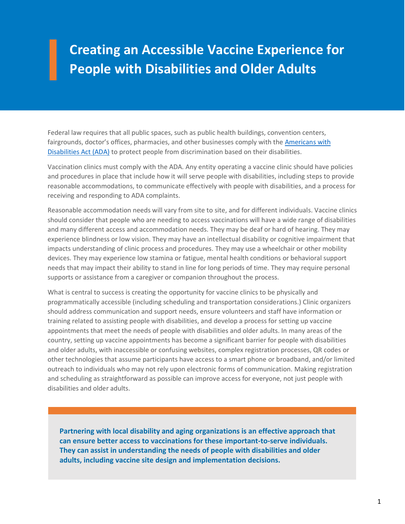## **Creating an Accessible Vaccine Experience for People with Disabilities and Older Adults**

Federal law requires that all public spaces, such as public health buildings, convention centers, fairgrounds, doctor's offices, pharmacies, and other businesses comply with the [Americans with](https://www.ada.gov/)  [Disabilities Act \(ADA\)](https://www.ada.gov/) to protect people from discrimination based on their disabilities.

Vaccination clinics must comply with the ADA. Any entity operating a vaccine clinic should have policies and procedures in place that include how it will serve people with disabilities, including steps to provide reasonable accommodations, to communicate effectively with people with disabilities, and a process for receiving and responding to ADA complaints.

Reasonable accommodation needs will vary from site to site, and for different individuals. Vaccine clinics should consider that people who are needing to access vaccinations will have a wide range of disabilities and many different access and accommodation needs. They may be deaf or hard of hearing. They may experience blindness or low vision. They may have an intellectual disability or cognitive impairment that impacts understanding of clinic process and procedures. They may use a wheelchair or other mobility devices. They may experience low stamina or fatigue, mental health conditions or behavioral support needs that may impact their ability to stand in line for long periods of time. They may require personal supports or assistance from a caregiver or companion throughout the process.

What is central to success is creating the opportunity for vaccine clinics to be physically and programmatically accessible (including scheduling and transportation considerations.) Clinic organizers should address communication and support needs, ensure volunteers and staff have information or training related to assisting people with disabilities, and develop a process for setting up vaccine appointments that meet the needs of people with disabilities and older adults. In many areas of the country, setting up vaccine appointments has become a significant barrier for people with disabilities and older adults, with inaccessible or confusing websites, complex registration processes, QR codes or other technologies that assume participants have access to a smart phone or broadband, and/or limited outreach to individuals who may not rely upon electronic forms of communication. Making registration and scheduling as straightforward as possible can improve access for everyone, not just people with disabilities and older adults.

**Partnering with local disability and aging organizations is an effective approach that can ensure better access to vaccinations for these important-to-serve individuals. They can assist in understanding the needs of people with disabilities and older adults, including vaccine site design and implementation decisions.**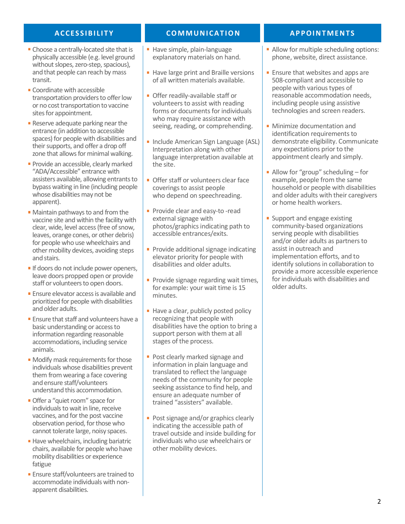- Choose a centrally-located site that is physically accessible (e.g. level ground without slopes, zero-step, spacious), and that people can reach by mass transit.
- Coordinate with accessible transportation providers to offer low or no cost transportation to vaccine sites for appointment.
- Reserve adequate parking near the entrance (in addition to accessible spaces) for people with disabilities and their supports, and offer a drop off zone that allows for minimal walking.
- Provide an accessible, clearly marked "ADA/Accessible" entrance with assisters available, allowing entrants to bypass waiting in line (including people whose disabilities may not be apparent).
- Maintain pathways to and from the vaccine site and within the facility with clear, wide, level access (free of snow, leaves, orange cones, or other debris) for people who use wheelchairs and other mobility devices, avoiding steps and stairs.
- If doors do not include power openers, leave doors propped open or provide staff or volunteers to open doors.
- **Ensure elevator access is available and** prioritized for people with disabilities and older adults.
- **Ensure that staff and volunteers have a** basic understanding or access to information regarding reasonable accommodations, including service animals.
- Modify mask requirements for those individuals whose disabilities prevent them from wearing a face covering and ensure staff/volunteers understand this accommodation.
- **Offer a "quiet room" space for** individuals to wait in line, receive vaccines, and for the post vaccine observation period, for those who cannot tolerate large, noisy spaces.
- Have wheelchairs, including bariatric chairs, available for people who have mobility disabilities or experience fatigue
- **Ensure staff/volunteers are trained to** accommodate individuals with nonapparent disabilities.

## **ACCESSIBILITY COMMUNICATION APPOINTMENTS**

- Have simple, plain-language explanatory materials on hand.
- Have large print and Braille versions of all written materials available.
- **Offer readily-available staff or** volunteers to assist with reading forms or documents for individuals who may require assistance with seeing, reading, or comprehending.
- **Include American Sign Language (ASL)** Interpretation along with other language interpretation available at the site.
- Offer staff or volunteers clear face coverings to assist people who depend on speechreading.
- **Provide clear and easy-to-read** external signage with photos/graphics indicating path to accessible entrances/exits.
- **Provide additional signage indicating** elevator priority for people with disabilities and older adults.
- **Provide signage regarding wait times,** for example: your wait time is 15 minutes.
- Have a clear, publicly posted policy recognizing that people with disabilities have the option to bring a support person with them at all stages of the process.
- **Post clearly marked signage and** information in plain language and translated to reflect the language needs of the community for people seeking assistance to find help, and ensure an adequate number of trained "assisters" available.
- Post signage and/or graphics clearly indicating the accessible path of travel outside and inside building for individuals who use wheelchairs or other mobility devices.

- Allow for multiple scheduling options: phone, website, direct assistance.
- **Ensure that websites and apps are** 508-compliant and accessible to people with various types of reasonable accommodation needs, including people using assistive technologies and screen readers.
- **Minimize documentation and** identification requirements to demonstrate eligibility. Communicate any expectations prior to the appointment clearly and simply.
- Allow for "group" scheduling for example, people from the same household or people with disabilities and older adults with their caregivers or home health workers.
- **Support and engage existing** community-based organizations serving people with disabilities and/or older adults as partners to assist in outreach and implementation efforts, and to identify solutions in collaboration to provide a more accessible experience for individuals with disabilities and older adults.